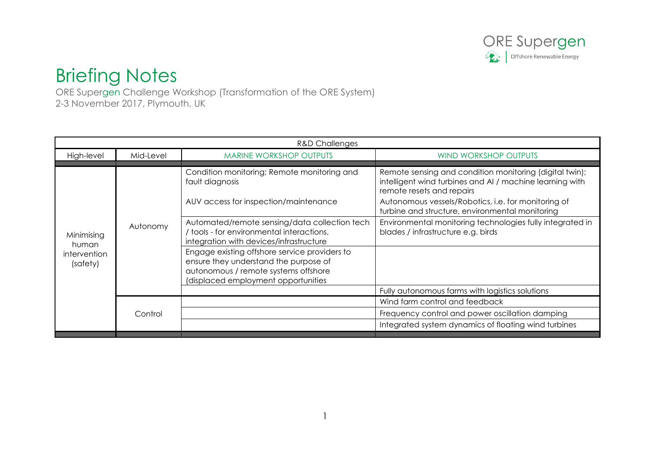

## Briefing Notes

ORE Supergen Challenge Workshop (Transformation of the ORE System) 2-3 November 2017, Plymouth, UK

| <b>R&amp;D Challenges</b>                       |           |                                                                                                                                                                       |                                                                                                                                                  |
|-------------------------------------------------|-----------|-----------------------------------------------------------------------------------------------------------------------------------------------------------------------|--------------------------------------------------------------------------------------------------------------------------------------------------|
| High-level                                      | Mid-Level | <b>MARINE WORKSHOP OUTPUTS</b>                                                                                                                                        | <b>WIND WORKSHOP OUTPUTS</b>                                                                                                                     |
|                                                 |           |                                                                                                                                                                       |                                                                                                                                                  |
| Minimising<br>human<br>intervention<br>(safety) | Autonomy  | Condition monitoring; Remote monitoring and<br>fault diagnosis                                                                                                        | Remote sensing and condition monitoring (digital twin);<br>intelligent wind turbines and AI / machine learning with<br>remote resets and repairs |
|                                                 |           | AUV access for inspection/maintenance                                                                                                                                 | Autonomous vessels/Robotics, i.e. for monitoring of<br>turbine and structure, environmental monitoring                                           |
|                                                 |           | Automated/remote sensing/data collection tech<br>/ tools - for environmental interactions,<br>integration with devices/infrastructure                                 | Environmental monitoring technologies fully integrated in<br>blades / infrastructure e.g. birds                                                  |
|                                                 |           | Engage existing offshore service providers to<br>ensure they understand the purpose of<br>autonomous / remote systems offshore<br>(displaced employment opportunities |                                                                                                                                                  |
|                                                 |           |                                                                                                                                                                       | Fully autonomous farms with logistics solutions                                                                                                  |
|                                                 | Control   |                                                                                                                                                                       | Wind farm control and feedback                                                                                                                   |
|                                                 |           |                                                                                                                                                                       | Frequency control and power oscillation damping                                                                                                  |
|                                                 |           |                                                                                                                                                                       | Integrated system dynamics of floating wind turbines                                                                                             |
|                                                 |           |                                                                                                                                                                       |                                                                                                                                                  |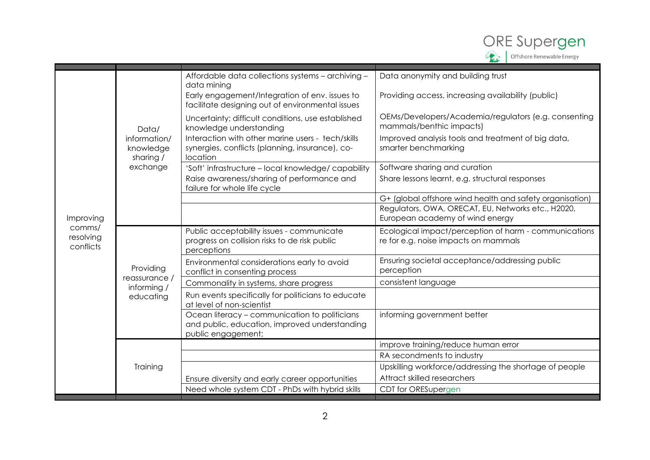

|                                  | Data/<br>information/<br>knowledge<br>sharing /<br>exchange | Affordable data collections systems - archiving -<br>data mining                                                     | Data anonymity and building trust                                                             |
|----------------------------------|-------------------------------------------------------------|----------------------------------------------------------------------------------------------------------------------|-----------------------------------------------------------------------------------------------|
|                                  |                                                             | Early engagement/Integration of env. issues to<br>facilitate designing out of environmental issues                   | Providing access, increasing availability (public)                                            |
|                                  |                                                             | Uncertainty; difficult conditions, use established<br>knowledge understanding                                        | OEMs/Developers/Academia/regulators (e.g. consenting<br>mammals/benthic impacts)              |
|                                  |                                                             | Interaction with other marine users - tech/skills<br>synergies, conflicts (planning, insurance), co-<br>location     | Improved analysis tools and treatment of big data,<br>smarter benchmarking                    |
|                                  |                                                             | 'Soft' infrastructure - local knowledge/ capability                                                                  | Software sharing and curation                                                                 |
|                                  |                                                             | Raise awareness/sharing of performance and<br>failure for whole life cycle                                           | Share lessons learnt, e.g. structural responses                                               |
|                                  |                                                             |                                                                                                                      | G+ (global offshore wind health and safety organisation)                                      |
|                                  |                                                             |                                                                                                                      | Regulators, OWA, ORECAT, EU, Networks etc., H2020,                                            |
| Improving                        |                                                             |                                                                                                                      | European academy of wind energy                                                               |
| comms/<br>resolving<br>conflicts | Providing<br>reassurance /<br>informing /<br>educating      | Public acceptability issues - communicate<br>progress on collision risks to de risk public<br>perceptions            | Ecological impact/perception of harm - communications<br>re for e.g. noise impacts on mammals |
|                                  |                                                             | Environmental considerations early to avoid                                                                          | Ensuring societal acceptance/addressing public                                                |
|                                  |                                                             | conflict in consenting process                                                                                       | perception                                                                                    |
|                                  |                                                             | Commonality in systems, share progress                                                                               | consistent language                                                                           |
|                                  |                                                             | Run events specifically for politicians to educate<br>at level of non-scientist                                      |                                                                                               |
|                                  |                                                             | Ocean literacy - communication to politicians<br>and public, education, improved understanding<br>public engagement; | informing government better                                                                   |
|                                  |                                                             |                                                                                                                      | improve training/reduce human error                                                           |
|                                  | Training                                                    |                                                                                                                      | RA secondments to industry                                                                    |
|                                  |                                                             |                                                                                                                      | Upskilling workforce/addressing the shortage of people                                        |
|                                  |                                                             | Ensure diversity and early career opportunities                                                                      | Attract skilled researchers                                                                   |
|                                  |                                                             | Need whole system CDT - PhDs with hybrid skills                                                                      | CDT for ORESupergen                                                                           |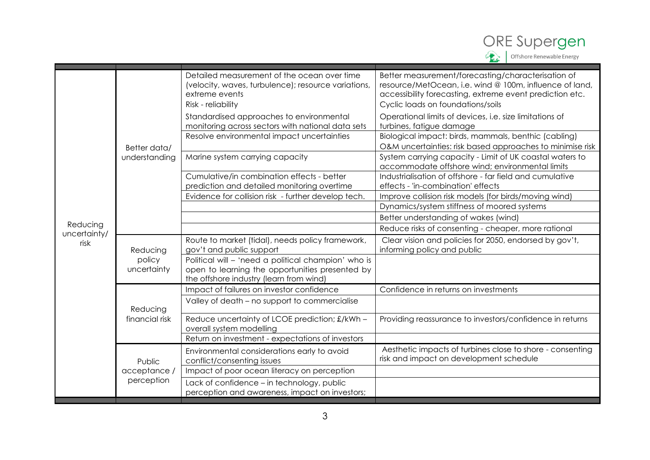

| Detailed measurement of the ocean over time<br>Better measurement/forecasting/characterisation of                                                                                                         |  |
|-----------------------------------------------------------------------------------------------------------------------------------------------------------------------------------------------------------|--|
| resource/MetOcean, i.e. wind @ 100m, influence of land,<br>(velocity, waves, turbulence); resource variations,<br>extreme events<br>accessibility forecasting, extreme event prediction etc.              |  |
| Risk - reliability<br>Cyclic loads on foundations/soils                                                                                                                                                   |  |
| Operational limits of devices, i.e. size limitations of<br>Standardised approaches to environmental<br>monitoring across sectors with national data sets<br>turbines, fatigue damage                      |  |
|                                                                                                                                                                                                           |  |
| Biological impact: birds, mammals, benthic (cabling)<br>Resolve environmental impact uncertainties                                                                                                        |  |
| O&M uncertainties: risk based approaches to minimise risk<br>Better data/                                                                                                                                 |  |
| Marine system carrying capacity<br>System carrying capacity - Limit of UK coastal waters to<br>understanding<br>accommodate offshore wind; environmental limits                                           |  |
| Cumulative/in combination effects - better<br>Industrialisation of offshore - far field and cumulative<br>prediction and detailed monitoring overtime<br>effects - 'in-combination' effects               |  |
| Evidence for collision risk - further develop tech.<br>Improve collision risk models (for birds/moving wind)                                                                                              |  |
| Dynamics/system stiffness of moored systems                                                                                                                                                               |  |
| Better understanding of wakes (wind)                                                                                                                                                                      |  |
| Reducing<br>Reduce risks of consenting - cheaper, more rational                                                                                                                                           |  |
| uncertainty/<br>Clear vision and policies for 2050, endorsed by gov't,<br>Route to market (tidal), needs policy framework,<br>risk<br>gov't and public support<br>informing policy and public<br>Reducing |  |
| Political will - 'need a political champion' who is<br>policy<br>uncertainty<br>open to learning the opportunities presented by<br>the offshore industry (learn from wind)                                |  |
| Impact of failures on investor confidence<br>Confidence in returns on investments                                                                                                                         |  |
| Valley of death - no support to commercialise<br>Reducing                                                                                                                                                 |  |
| financial risk<br>Providing reassurance to investors/confidence in returns<br>Reduce uncertainty of LCOE prediction; £/kWh -<br>overall system modelling                                                  |  |
| Return on investment - expectations of investors                                                                                                                                                          |  |
| Aesthetic impacts of turbines close to shore - consenting<br>Environmental considerations early to avoid<br>risk and impact on development schedule<br>conflict/consenting issues<br>Public               |  |
| acceptance /<br>Impact of poor ocean literacy on perception                                                                                                                                               |  |
| perception<br>Lack of confidence - in technology, public<br>perception and awareness, impact on investors;                                                                                                |  |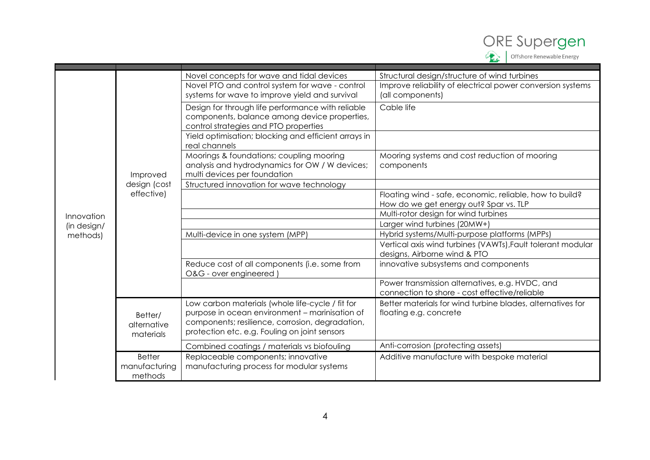

|                         |                                     | Novel concepts for wave and tidal devices            | Structural design/structure of wind turbines                                                      |
|-------------------------|-------------------------------------|------------------------------------------------------|---------------------------------------------------------------------------------------------------|
|                         |                                     | Novel PTO and control system for wave - control      | Improve reliability of electrical power conversion systems                                        |
|                         |                                     | systems for wave to improve yield and survival       | (all components)                                                                                  |
|                         |                                     | Design for through life performance with reliable    | Cable life                                                                                        |
|                         |                                     | components, balance among device properties,         |                                                                                                   |
|                         |                                     | control strategies and PTO properties                |                                                                                                   |
|                         |                                     | Yield optimisation; blocking and efficient arrays in |                                                                                                   |
|                         |                                     | real channels                                        |                                                                                                   |
|                         |                                     | Moorings & foundations; coupling mooring             | Mooring systems and cost reduction of mooring                                                     |
|                         |                                     | analysis and hydrodynamics for OW / W devices;       | components                                                                                        |
|                         | Improved                            | multi devices per foundation                         |                                                                                                   |
|                         | design (cost<br>effective)          | Structured innovation for wave technology            |                                                                                                   |
|                         |                                     |                                                      | Floating wind - safe, economic, reliable, how to build?<br>How do we get energy out? Spar vs. TLP |
|                         |                                     |                                                      | Multi-rotor design for wind turbines                                                              |
| Innovation              |                                     |                                                      | Larger wind turbines (20MW+)                                                                      |
| (in design/<br>methods) |                                     | Multi-device in one system (MPP)                     | Hybrid systems/Multi-purpose platforms (MPPs)                                                     |
|                         |                                     |                                                      | Vertical axis wind turbines (VAWTs), Fault tolerant modular                                       |
|                         |                                     |                                                      | designs, Airborne wind & PTO                                                                      |
|                         |                                     | Reduce cost of all components (i.e. some from        | innovative subsystems and components                                                              |
|                         |                                     | O&G - over engineered                                |                                                                                                   |
|                         |                                     |                                                      | Power transmission alternatives, e.g. HVDC, and                                                   |
|                         |                                     |                                                      | connection to shore - cost effective/reliable                                                     |
|                         | Better/<br>alternative<br>materials | Low carbon materials (whole life-cycle / fit for     | Better materials for wind turbine blades, alternatives for                                        |
|                         |                                     | purpose in ocean environment - marinisation of       | floating e.g. concrete                                                                            |
|                         |                                     | components; resilience, corrosion, degradation,      |                                                                                                   |
|                         |                                     | protection etc. e.g. Fouling on joint sensors        |                                                                                                   |
|                         |                                     | Combined coatings / materials vs biofouling          | Anti-corrosion (protecting assets)                                                                |
|                         | <b>Better</b>                       | Replaceable components; innovative                   | Additive manufacture with bespoke material                                                        |
|                         | manufacturing                       | manufacturing process for modular systems            |                                                                                                   |
|                         | methods                             |                                                      |                                                                                                   |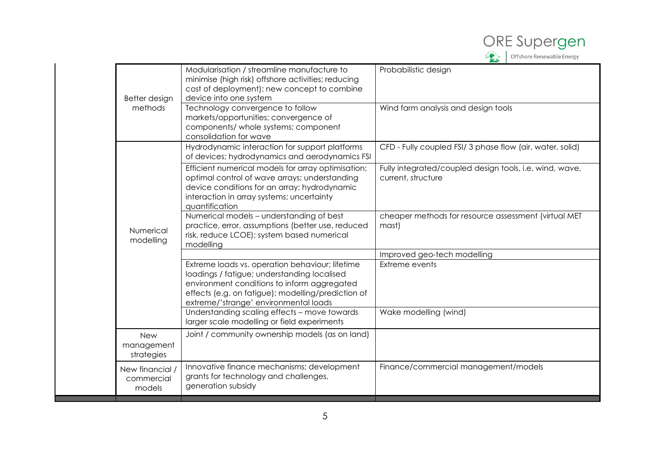

| Better design                           | Modularisation / streamline manufacture to<br>minimise (high risk) offshore activities; reducing<br>cost of deployment); new concept to combine<br>device into one system                                                                    | Probabilistic design                                                          |
|-----------------------------------------|----------------------------------------------------------------------------------------------------------------------------------------------------------------------------------------------------------------------------------------------|-------------------------------------------------------------------------------|
| methods                                 | Technology convergence to follow<br>markets/opportunities; convergence of<br>components/ whole systems; component<br>consolidation for wave                                                                                                  | Wind farm analysis and design tools                                           |
|                                         | Hydrodynamic interaction for support platforms<br>of devices; hydrodynamics and aerodynamics FSI                                                                                                                                             | CFD - Fully coupled FSI/ 3 phase flow (air, water, solid)                     |
|                                         | Efficient numerical models for array optimisation;<br>optimal control of wave arrays; understanding<br>device conditions for an array; hydrodynamic<br>interaction in array systems; uncertainty<br>quantification                           | Fully integrated/coupled design tools, i.e. wind, wave,<br>current, structure |
| Numerical<br>modelling                  | Numerical models - understanding of best<br>practice, error, assumptions (better use, reduced<br>risk, reduce LCOE); system based numerical<br>modelling                                                                                     | cheaper methods for resource assessment (virtual MET<br>mast)                 |
|                                         |                                                                                                                                                                                                                                              | Improved geo-tech modelling                                                   |
|                                         | Extreme loads vs. operation behaviour; lifetime<br>loadings / fatigue; understanding localised<br>environment conditions to inform aggregated<br>effects (e.g. on fatigue); modelling/prediction of<br>extreme/'strange' environmental loads | Extreme events                                                                |
|                                         | Understanding scaling effects - move towards<br>larger scale modelling or field experiments                                                                                                                                                  | Wake modelling (wind)                                                         |
| <b>New</b><br>management<br>strategies  | Joint / community ownership models (as on land)                                                                                                                                                                                              |                                                                               |
| New financial /<br>commercial<br>models | Innovative finance mechanisms; development<br>grants for technology and challenges,<br>generation subsidy                                                                                                                                    | Finance/commercial management/models                                          |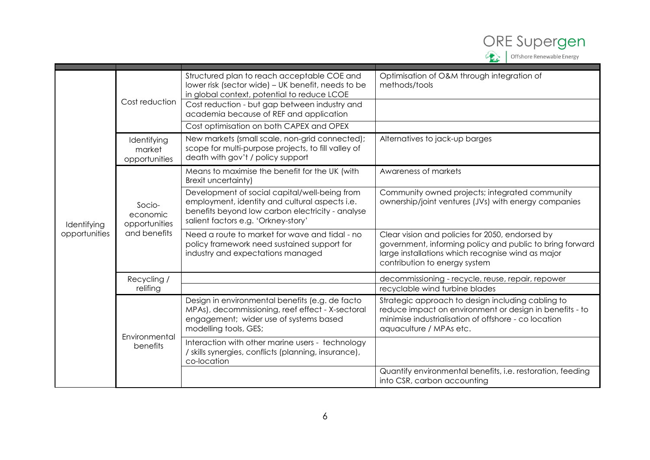

| Identifying<br>opportunities | Cost reduction                                      | Structured plan to reach acceptable COE and<br>lower risk (sector wide) - UK benefit, needs to be<br>in global context, potential to reduce LCOE<br>Cost reduction - but gap between industry and<br>academia because of REF and application | Optimisation of O&M through integration of<br>methods/tools                                                                                                                                       |
|------------------------------|-----------------------------------------------------|----------------------------------------------------------------------------------------------------------------------------------------------------------------------------------------------------------------------------------------------|---------------------------------------------------------------------------------------------------------------------------------------------------------------------------------------------------|
|                              |                                                     | Cost optimisation on both CAPEX and OPEX                                                                                                                                                                                                     |                                                                                                                                                                                                   |
|                              | Identifying<br>market<br>opportunities              | New markets (small scale, non-grid connected);<br>scope for multi-purpose projects, to fill valley of<br>death with gov't / policy support                                                                                                   | Alternatives to jack-up barges                                                                                                                                                                    |
|                              | Socio-<br>economic<br>opportunities<br>and benefits | Means to maximise the benefit for the UK (with<br>Brexit uncertainty)                                                                                                                                                                        | Awareness of markets                                                                                                                                                                              |
|                              |                                                     | Development of social capital/well-being from<br>employment, identity and cultural aspects i.e.<br>benefits beyond low carbon electricity - analyse<br>salient factors e.g. 'Orkney-story'                                                   | Community owned projects; integrated community<br>ownership/joint ventures (JVs) with energy companies                                                                                            |
|                              |                                                     | Need a route to market for wave and tidal - no<br>policy framework need sustained support for<br>industry and expectations managed                                                                                                           | Clear vision and policies for 2050, endorsed by<br>government, informing policy and public to bring forward<br>large installations which recognise wind as major<br>contribution to energy system |
|                              | Recycling /                                         |                                                                                                                                                                                                                                              | decommissioning - recycle, reuse, repair, repower                                                                                                                                                 |
|                              | relifing                                            |                                                                                                                                                                                                                                              | recyclable wind turbine blades                                                                                                                                                                    |
|                              | Environmental<br>benefits                           | Design in environmental benefits (e.g. de facto<br>MPAs), decommissioning, reef effect - X-sectoral<br>engagement; wider use of systems based<br>modelling tools, GES;                                                                       | Strategic approach to design including cabling to<br>reduce impact on environment or design in benefits - to<br>minimise industrialisation of offshore - co location<br>aquaculture / MPAs etc.   |
|                              |                                                     | Interaction with other marine users - technology<br>/ skills synergies, conflicts (planning, insurance),<br>co-location                                                                                                                      |                                                                                                                                                                                                   |
|                              |                                                     |                                                                                                                                                                                                                                              | Quantify environmental benefits, i.e. restoration, feeding<br>into CSR, carbon accounting                                                                                                         |